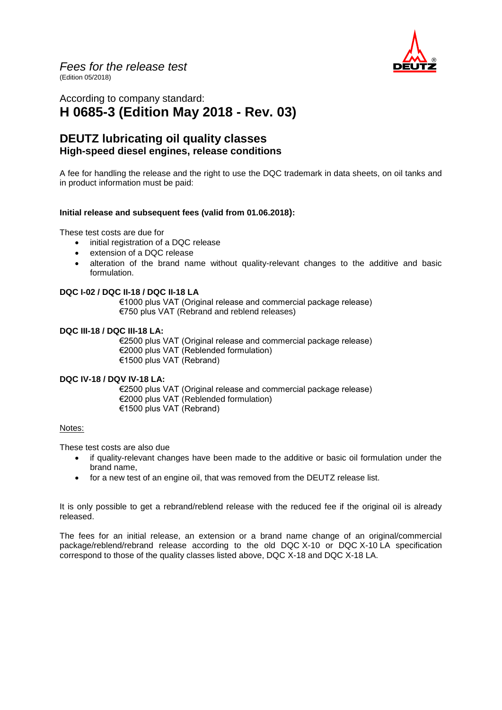

## According to company standard: **H 0685-3 (Edition May 2018 - Rev. 03)**

## **DEUTZ lubricating oil quality classes High-speed diesel engines, release conditions**

A fee for handling the release and the right to use the DQC trademark in data sheets, on oil tanks and in product information must be paid:

#### **Initial release and subsequent fees (valid from 01.06.2018):**

These test costs are due for

- initial registration of a DQC release
- extension of a DQC release
- alteration of the brand name without quality-relevant changes to the additive and basic formulation.

#### **DQC I-02 / DQC II-18 / DQC II-18 LA**

€1000 plus VAT (Original release and commercial package release) €750 plus VAT (Rebrand and reblend releases)

#### **DQC III-18 / DQC III-18 LA:**

€2500 plus VAT (Original release and commercial package release) €2000 plus VAT (Reblended formulation) €1500 plus VAT (Rebrand)

#### **DQC IV-18 / DQV IV-18 LA:**

€2500 plus VAT (Original release and commercial package release) €2000 plus VAT (Reblended formulation) €1500 plus VAT (Rebrand)

#### Notes:

These test costs are also due

- if quality-relevant changes have been made to the additive or basic oil formulation under the brand name,
- for a new test of an engine oil, that was removed from the DEUTZ release list.

It is only possible to get a rebrand/reblend release with the reduced fee if the original oil is already released.

The fees for an initial release, an extension or a brand name change of an original/commercial package/reblend/rebrand release according to the old DQC X-10 or DQC X-10 LA specification correspond to those of the quality classes listed above, DQC X-18 and DQC X-18 LA.